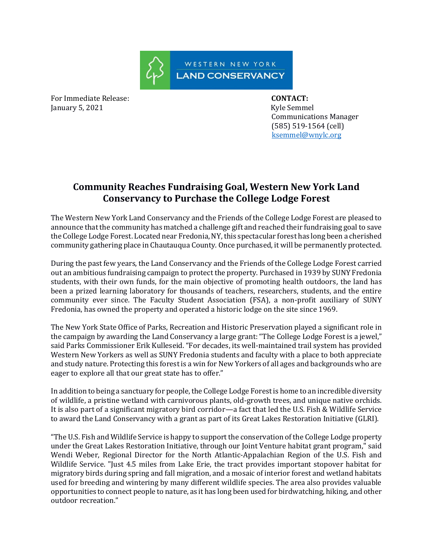

For Immediate Release: **CONTACT:**  January 5, 2021 Kyle Semmel

 Communications Manager (585) 519-1564 (cell) [ksemmel@wnylc.org](mailto:ksemmel@wnylc.org)

## **Community Reaches Fundraising Goal, Western New York Land Conservancy to Purchase the College Lodge Forest**

The Western New York Land Conservancy and the Friends of the College Lodge Forest are pleased to announce that the community has matched a challenge gift and reached their fundraising goal to save the College Lodge Forest. Located near Fredonia, NY, this spectacular forest has long been a cherished community gathering place in Chautauqua County. Once purchased, it will be permanently protected.

During the past few years, the Land Conservancy and the Friends of the College Lodge Forest carried out an ambitious fundraising campaign to protect the property. Purchased in 1939 by SUNY Fredonia students, with their own funds, for the main objective of promoting health outdoors, the land has been a prized learning laboratory for thousands of teachers, researchers, students, and the entire community ever since. The Faculty Student Association (FSA), a non-profit auxiliary of SUNY Fredonia, has owned the property and operated a historic lodge on the site since 1969.

The New York State Office of Parks, Recreation and Historic Preservation played a significant role in the campaign by awarding the Land Conservancy a large grant: "The College Lodge Forest is a jewel," said Parks Commissioner Erik Kulleseid. "For decades, its well-maintained trail system has provided Western New Yorkers as well as SUNY Fredonia students and faculty with a place to both appreciate and study nature. Protecting this forest is a win for New Yorkers of all ages and backgrounds who are eager to explore all that our great state has to offer."

In addition to being a sanctuary for people, the College Lodge Forest is home to an incredible diversity of wildlife, a pristine wetland with carnivorous plants, old-growth trees, and unique native orchids. It is also part of a significant migratory bird corridor—a fact that led the U.S. Fish & Wildlife Service to award the Land Conservancy with a grant as part of its Great Lakes Restoration Initiative (GLRI).

"The U.S. Fish and Wildlife Service is happy to support the conservation of the College Lodge property under the Great Lakes Restoration Initiative, through our Joint Venture habitat grant program," said Wendi Weber, Regional Director for the North Atlantic-Appalachian Region of the U.S. Fish and Wildlife Service. "Just 4.5 miles from Lake Erie, the tract provides important stopover habitat for migratory birds during spring and fall migration, and a mosaic of interior forest and wetland habitats used for breeding and wintering by many different wildlife species. The area also provides valuable opportunities to connect people to nature, as it has long been used for birdwatching, hiking, and other outdoor recreation."